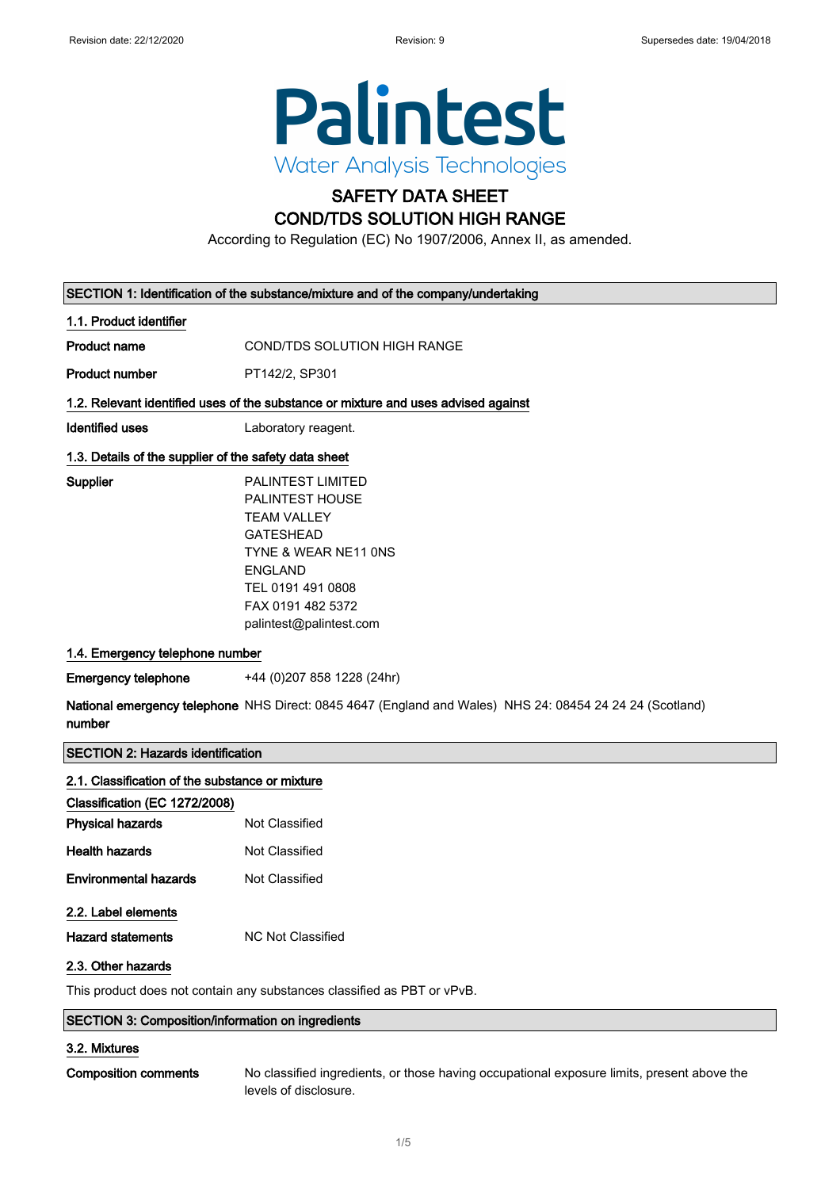

# SAFETY DATA SHEET

## COND/TDS SOLUTION HIGH RANGE

According to Regulation (EC) No 1907/2006, Annex II, as amended.

| SECTION 1: Identification of the substance/mixture and of the company/undertaking  |                                                                                                                                                                                                      |  |
|------------------------------------------------------------------------------------|------------------------------------------------------------------------------------------------------------------------------------------------------------------------------------------------------|--|
| 1.1. Product identifier                                                            |                                                                                                                                                                                                      |  |
| <b>Product name</b>                                                                | <b>COND/TDS SOLUTION HIGH RANGE</b>                                                                                                                                                                  |  |
| <b>Product number</b>                                                              | PT142/2, SP301                                                                                                                                                                                       |  |
| 1.2. Relevant identified uses of the substance or mixture and uses advised against |                                                                                                                                                                                                      |  |
| <b>Identified uses</b>                                                             | Laboratory reagent.                                                                                                                                                                                  |  |
| 1.3. Details of the supplier of the safety data sheet                              |                                                                                                                                                                                                      |  |
| Supplier                                                                           | <b>PALINTEST LIMITED</b><br>PALINTEST HOUSE<br><b>TEAM VALLEY</b><br><b>GATESHEAD</b><br>TYNE & WEAR NE11 ONS<br><b>ENGLAND</b><br>TEL 0191 491 0808<br>FAX 0191 482 5372<br>palintest@palintest.com |  |
| 1.4. Emergency telephone number                                                    |                                                                                                                                                                                                      |  |
| <b>Emergency telephone</b><br>number                                               | +44 (0) 207 858 1228 (24hr)<br>National emergency telephone NHS Direct: 0845 4647 (England and Wales) NHS 24: 08454 24 24 24 (Scotland)                                                              |  |
| <b>SECTION 2: Hazards identification</b>                                           |                                                                                                                                                                                                      |  |
| 2.1. Classification of the substance or mixture                                    |                                                                                                                                                                                                      |  |
| Classification (EC 1272/2008)                                                      |                                                                                                                                                                                                      |  |
| <b>Physical hazards</b>                                                            | Not Classified                                                                                                                                                                                       |  |
| <b>Health hazards</b>                                                              | Not Classified                                                                                                                                                                                       |  |
| <b>Environmental hazards</b>                                                       | Not Classified                                                                                                                                                                                       |  |

### 2.2. Label elements

Hazard statements MC Not Classified

### 2.3. Other hazards

This product does not contain any substances classified as PBT or vPvB.

### SECTION 3: Composition/information on ingredients

### 3.2. Mixtures

Composition comments No classified ingredients, or those having occupational exposure limits, present above the levels of disclosure.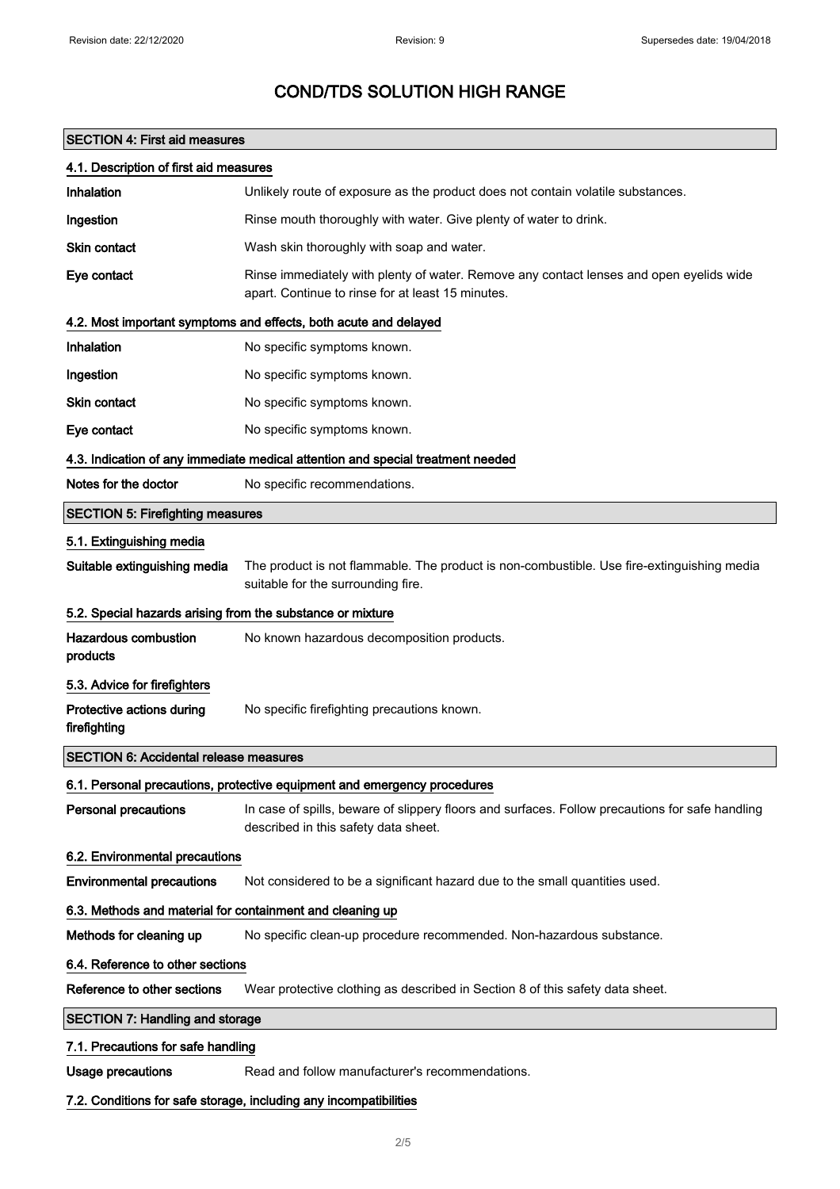## SECTION 4: First aid measures

| 4.1. Description of first aid measures                     |                                                                                                                                              |  |
|------------------------------------------------------------|----------------------------------------------------------------------------------------------------------------------------------------------|--|
| Inhalation                                                 | Unlikely route of exposure as the product does not contain volatile substances.                                                              |  |
| Ingestion                                                  | Rinse mouth thoroughly with water. Give plenty of water to drink.                                                                            |  |
| Skin contact                                               | Wash skin thoroughly with soap and water.                                                                                                    |  |
| Eye contact                                                | Rinse immediately with plenty of water. Remove any contact lenses and open eyelids wide<br>apart. Continue to rinse for at least 15 minutes. |  |
|                                                            | 4.2. Most important symptoms and effects, both acute and delayed                                                                             |  |
| Inhalation                                                 | No specific symptoms known.                                                                                                                  |  |
| Ingestion                                                  | No specific symptoms known.                                                                                                                  |  |
| Skin contact                                               | No specific symptoms known.                                                                                                                  |  |
| Eye contact                                                | No specific symptoms known.                                                                                                                  |  |
|                                                            | 4.3. Indication of any immediate medical attention and special treatment needed                                                              |  |
| Notes for the doctor                                       | No specific recommendations.                                                                                                                 |  |
| <b>SECTION 5: Firefighting measures</b>                    |                                                                                                                                              |  |
| 5.1. Extinguishing media                                   |                                                                                                                                              |  |
| Suitable extinguishing media                               | The product is not flammable. The product is non-combustible. Use fire-extinguishing media<br>suitable for the surrounding fire.             |  |
| 5.2. Special hazards arising from the substance or mixture |                                                                                                                                              |  |
| <b>Hazardous combustion</b><br>products                    | No known hazardous decomposition products.                                                                                                   |  |
| 5.3. Advice for firefighters                               |                                                                                                                                              |  |
| Protective actions during<br>firefighting                  | No specific firefighting precautions known.                                                                                                  |  |
| <b>SECTION 6: Accidental release measures</b>              |                                                                                                                                              |  |
|                                                            | 6.1. Personal precautions, protective equipment and emergency procedures                                                                     |  |
| <b>Personal precautions</b>                                | In case of spills, beware of slippery floors and surfaces. Follow precautions for safe handling<br>described in this safety data sheet.      |  |
| 6.2. Environmental precautions                             |                                                                                                                                              |  |
| <b>Environmental precautions</b>                           | Not considered to be a significant hazard due to the small quantities used.                                                                  |  |
| 6.3. Methods and material for containment and cleaning up  |                                                                                                                                              |  |
| Methods for cleaning up                                    | No specific clean-up procedure recommended. Non-hazardous substance.                                                                         |  |
| 6.4. Reference to other sections                           |                                                                                                                                              |  |
| Reference to other sections                                | Wear protective clothing as described in Section 8 of this safety data sheet.                                                                |  |
| <b>SECTION 7: Handling and storage</b>                     |                                                                                                                                              |  |
| 7.1. Precautions for safe handling                         |                                                                                                                                              |  |
| <b>Usage precautions</b>                                   | Read and follow manufacturer's recommendations.                                                                                              |  |
|                                                            | 7.2. Conditions for safe storage, including any incompatibilities                                                                            |  |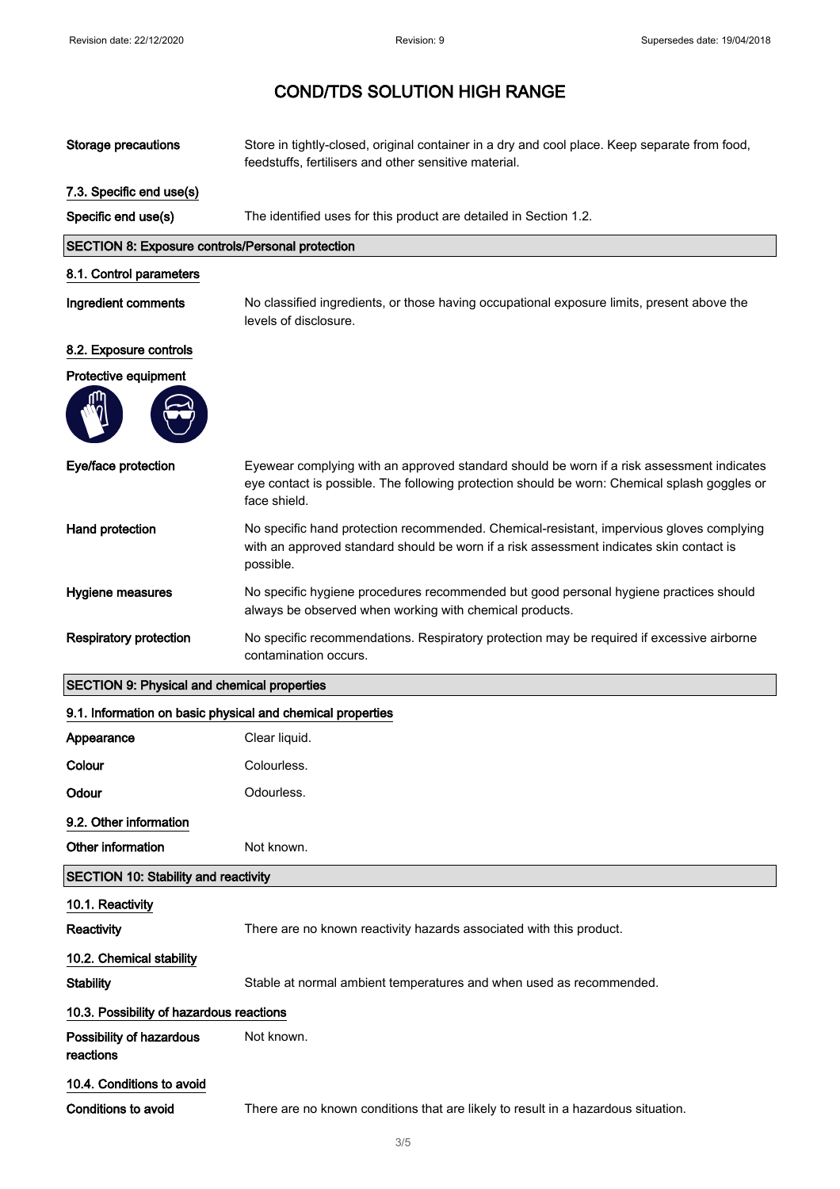| <b>Storage precautions</b>                                 | Store in tightly-closed, original container in a dry and cool place. Keep separate from food,<br>feedstuffs, fertilisers and other sensitive material.                                                    |
|------------------------------------------------------------|-----------------------------------------------------------------------------------------------------------------------------------------------------------------------------------------------------------|
| 7.3. Specific end use(s)                                   |                                                                                                                                                                                                           |
| Specific end use(s)                                        | The identified uses for this product are detailed in Section 1.2.                                                                                                                                         |
| SECTION 8: Exposure controls/Personal protection           |                                                                                                                                                                                                           |
| 8.1. Control parameters                                    |                                                                                                                                                                                                           |
| Ingredient comments                                        | No classified ingredients, or those having occupational exposure limits, present above the<br>levels of disclosure.                                                                                       |
| 8.2. Exposure controls                                     |                                                                                                                                                                                                           |
| Protective equipment                                       |                                                                                                                                                                                                           |
|                                                            |                                                                                                                                                                                                           |
| Eye/face protection                                        | Eyewear complying with an approved standard should be worn if a risk assessment indicates<br>eye contact is possible. The following protection should be worn: Chemical splash goggles or<br>face shield. |
| Hand protection                                            | No specific hand protection recommended. Chemical-resistant, impervious gloves complying<br>with an approved standard should be worn if a risk assessment indicates skin contact is<br>possible.          |
| Hygiene measures                                           | No specific hygiene procedures recommended but good personal hygiene practices should<br>always be observed when working with chemical products.                                                          |
|                                                            |                                                                                                                                                                                                           |
| <b>Respiratory protection</b>                              | No specific recommendations. Respiratory protection may be required if excessive airborne<br>contamination occurs.                                                                                        |
| <b>SECTION 9: Physical and chemical properties</b>         |                                                                                                                                                                                                           |
| 9.1. Information on basic physical and chemical properties |                                                                                                                                                                                                           |
| Appearance                                                 | Clear liquid.                                                                                                                                                                                             |
| Colour                                                     | Colourless.                                                                                                                                                                                               |
| Odour                                                      | Odourless.                                                                                                                                                                                                |
| 9.2. Other information                                     |                                                                                                                                                                                                           |
| Other information                                          | Not known.                                                                                                                                                                                                |
| <b>SECTION 10: Stability and reactivity</b>                |                                                                                                                                                                                                           |
| 10.1. Reactivity                                           |                                                                                                                                                                                                           |
| Reactivity                                                 | There are no known reactivity hazards associated with this product.                                                                                                                                       |
| 10.2. Chemical stability                                   |                                                                                                                                                                                                           |
| <b>Stability</b>                                           | Stable at normal ambient temperatures and when used as recommended.                                                                                                                                       |
| 10.3. Possibility of hazardous reactions                   |                                                                                                                                                                                                           |
| Possibility of hazardous<br>reactions                      | Not known.                                                                                                                                                                                                |
| 10.4. Conditions to avoid                                  |                                                                                                                                                                                                           |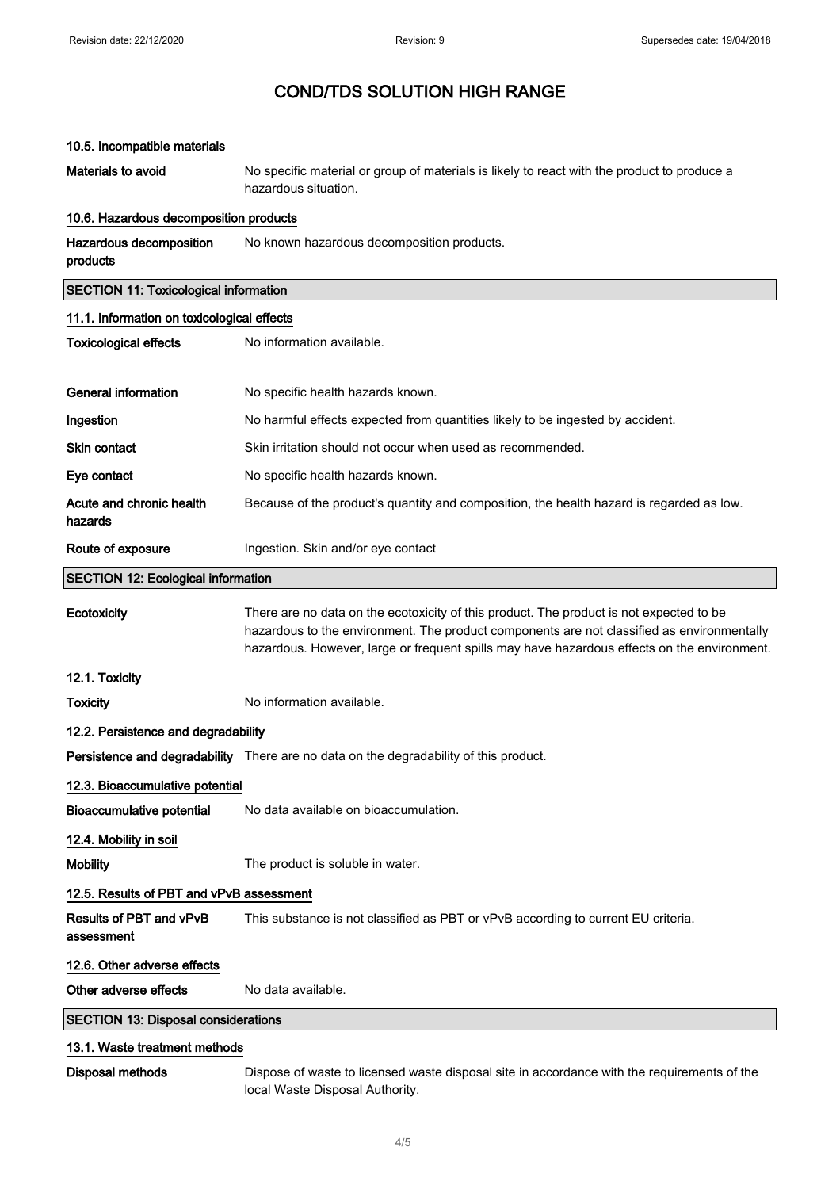### 10.5. Incompatible materials

Materials to avoid No specific material or group of materials is likely to react with the product to produce a hazardous situation.

#### 10.6. Hazardous decomposition products

Hazardous decomposition products No known hazardous decomposition products.

### SECTION 11: Toxicological information

| 11.1. Information on toxicological effects |                                                                                                                                                                                                                                                                                      |  |
|--------------------------------------------|--------------------------------------------------------------------------------------------------------------------------------------------------------------------------------------------------------------------------------------------------------------------------------------|--|
| <b>Toxicological effects</b>               | No information available.                                                                                                                                                                                                                                                            |  |
|                                            |                                                                                                                                                                                                                                                                                      |  |
| <b>General information</b>                 | No specific health hazards known.                                                                                                                                                                                                                                                    |  |
| Ingestion                                  | No harmful effects expected from quantities likely to be ingested by accident.                                                                                                                                                                                                       |  |
| Skin contact                               | Skin irritation should not occur when used as recommended.                                                                                                                                                                                                                           |  |
| Eye contact                                | No specific health hazards known.                                                                                                                                                                                                                                                    |  |
| Acute and chronic health<br>hazards        | Because of the product's quantity and composition, the health hazard is regarded as low.                                                                                                                                                                                             |  |
| Route of exposure                          | Ingestion. Skin and/or eye contact                                                                                                                                                                                                                                                   |  |
| <b>SECTION 12: Ecological information</b>  |                                                                                                                                                                                                                                                                                      |  |
| Ecotoxicity                                | There are no data on the ecotoxicity of this product. The product is not expected to be<br>hazardous to the environment. The product components are not classified as environmentally<br>hazardous. However, large or frequent spills may have hazardous effects on the environment. |  |
| 12.1. Toxicity                             |                                                                                                                                                                                                                                                                                      |  |
| Toxicity                                   | No information available.                                                                                                                                                                                                                                                            |  |
| 12.2. Persistence and degradability        |                                                                                                                                                                                                                                                                                      |  |
|                                            | <b>Persistence and degradability</b> There are no data on the degradability of this product.                                                                                                                                                                                         |  |
| 12.3. Bioaccumulative potential            |                                                                                                                                                                                                                                                                                      |  |

Bioaccumulative potential No data available on bioaccumulation.

12.4. Mobility in soil

assessment

Mobility **Mobility** The product is soluble in water.

### 12.5. Results of PBT and vPvB assessment

Results of PBT and vPvB This substance is not classified as PBT or vPvB according to current EU criteria.

# 12.6. Other adverse effects

Other adverse effects No data available.

### SECTION 13: Disposal considerations

### 13.1. Waste treatment methods

Disposal methods Dispose of waste to licensed waste disposal site in accordance with the requirements of the local Waste Disposal Authority.